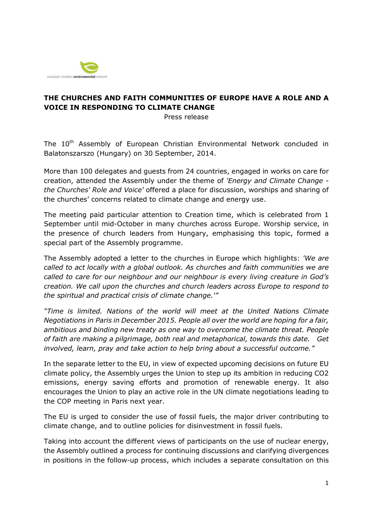

## **THE CHURCHES AND FAITH COMMUNITIES OF EUROPE HAVE A ROLE AND A VOICE IN RESPONDING TO CLIMATE CHANGE**

Press release

The 10<sup>th</sup> Assembly of European Christian Environmental Network concluded in Balatonszarszo (Hungary) on 30 September, 2014.

More than 100 delegates and guests from 24 countries, engaged in works on care for creation, attended the Assembly under the theme of *'Energy and Climate Change the Churches' Role and Voice'* offered a place for discussion, worships and sharing of the churches' concerns related to climate change and energy use.

The meeting paid particular attention to Creation time, which is celebrated from 1 September until mid-October in many churches across Europe. Worship service, in the presence of church leaders from Hungary, emphasising this topic, formed a special part of the Assembly programme.

The Assembly adopted a letter to the churches in Europe which highlights: *'We are called to act locally with a global outlook. As churches and faith communities we are called to care for our neighbour and our neighbour is every living creature in God's creation. We call upon the churches and church leaders across Europe to respond to the spiritual and practical crisis of climate change.'"*

*"Time is limited. Nations of the world will meet at the United Nations Climate Negotiations in Paris in December 2015. People all over the world are hoping for a fair, ambitious and binding new treaty as one way to overcome the climate threat. People of faith are making a pilgrimage, both real and metaphorical, towards this date. Get involved, learn, pray and take action to help bring about a successful outcome."*

In the separate letter to the EU, in view of expected upcoming decisions on future EU climate policy, the Assembly urges the Union to step up its ambition in reducing CO2 emissions, energy saving efforts and promotion of renewable energy. It also encourages the Union to play an active role in the UN climate negotiations leading to the COP meeting in Paris next year.

The EU is urged to consider the use of fossil fuels, the major driver contributing to climate change, and to outline policies for disinvestment in fossil fuels.

Taking into account the different views of participants on the use of nuclear energy, the Assembly outlined a process for continuing discussions and clarifying divergences in positions in the follow-up process, which includes a separate consultation on this